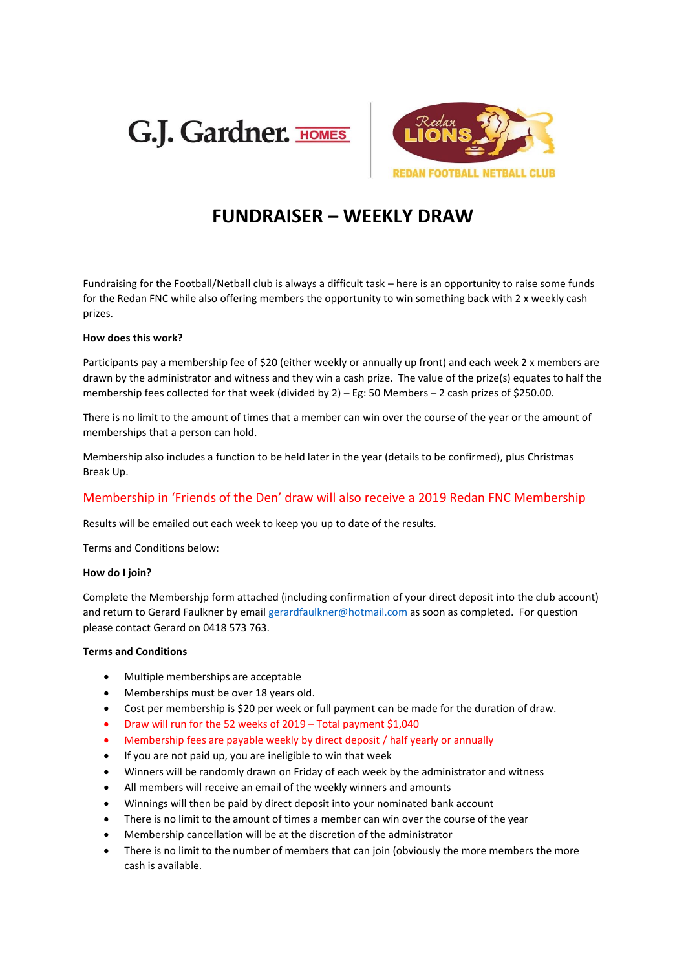



## **FUNDRAISER – WEEKLY DRAW**

Fundraising for the Football/Netball club is always a difficult task – here is an opportunity to raise some funds for the Redan FNC while also offering members the opportunity to win something back with 2 x weekly cash prizes.

#### **How does this work?**

Participants pay a membership fee of \$20 (either weekly or annually up front) and each week 2 x members are drawn by the administrator and witness and they win a cash prize. The value of the prize(s) equates to half the membership fees collected for that week (divided by 2) – Eg: 50 Members – 2 cash prizes of \$250.00.

There is no limit to the amount of times that a member can win over the course of the year or the amount of memberships that a person can hold.

Membership also includes a function to be held later in the year (details to be confirmed), plus Christmas Break Up.

#### Membership in 'Friends of the Den' draw will also receive a 2019 Redan FNC Membership

Results will be emailed out each week to keep you up to date of the results.

Terms and Conditions below:

#### **How do I join?**

Complete the Membershjp form attached (including confirmation of your direct deposit into the club account) and return to Gerard Faulkner by email [gerardfaulkner@hotmail.com](mailto:gerardfaulkner@hotmail.com) as soon as completed. For question please contact Gerard on 0418 573 763.

#### **Terms and Conditions**

- Multiple memberships are acceptable
- Memberships must be over 18 years old.
- Cost per membership is \$20 per week or full payment can be made for the duration of draw.
- Draw will run for the 52 weeks of 2019 Total payment \$1,040
- Membership fees are payable weekly by direct deposit / half yearly or annually
- If you are not paid up, you are ineligible to win that week
- Winners will be randomly drawn on Friday of each week by the administrator and witness
- All members will receive an email of the weekly winners and amounts
- Winnings will then be paid by direct deposit into your nominated bank account
- There is no limit to the amount of times a member can win over the course of the year
- Membership cancellation will be at the discretion of the administrator
- There is no limit to the number of members that can join (obviously the more members the more cash is available.